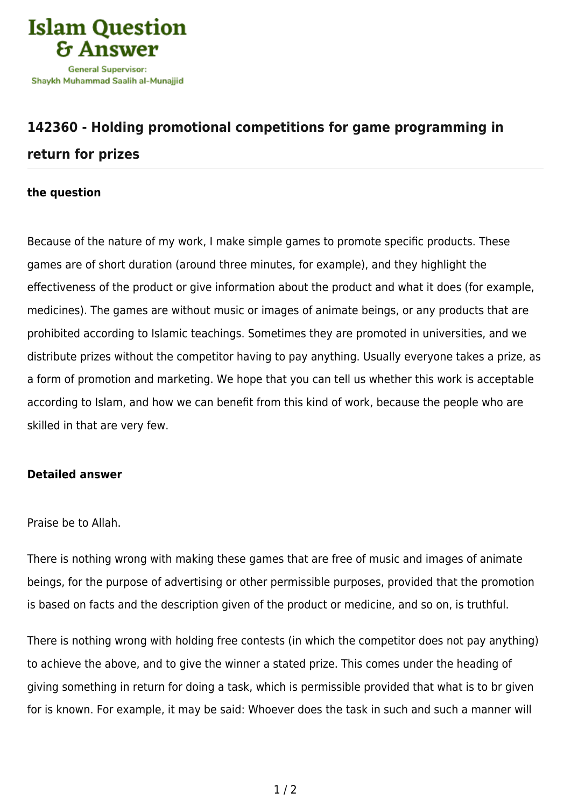

## **[142360 - Holding promotional competitions for game programming in](https://islamqa.com/en/answers/142360/holding-promotional-competitions-for-game-programming-in-return-for-prizes) [return for prizes](https://islamqa.com/en/answers/142360/holding-promotional-competitions-for-game-programming-in-return-for-prizes)**

## **the question**

Because of the nature of my work, I make simple games to promote specific products. These games are of short duration (around three minutes, for example), and they highlight the effectiveness of the product or give information about the product and what it does (for example, medicines). The games are without music or images of animate beings, or any products that are prohibited according to Islamic teachings. Sometimes they are promoted in universities, and we distribute prizes without the competitor having to pay anything. Usually everyone takes a prize, as a form of promotion and marketing. We hope that you can tell us whether this work is acceptable according to Islam, and how we can benefit from this kind of work, because the people who are skilled in that are very few.

## **Detailed answer**

Praise be to Allah.

There is nothing wrong with making these games that are free of music and images of animate beings, for the purpose of advertising or other permissible purposes, provided that the promotion is based on facts and the description given of the product or medicine, and so on, is truthful.

There is nothing wrong with holding free contests (in which the competitor does not pay anything) to achieve the above, and to give the winner a stated prize. This comes under the heading of giving something in return for doing a task, which is permissible provided that what is to br given for is known. For example, it may be said: Whoever does the task in such and such a manner will